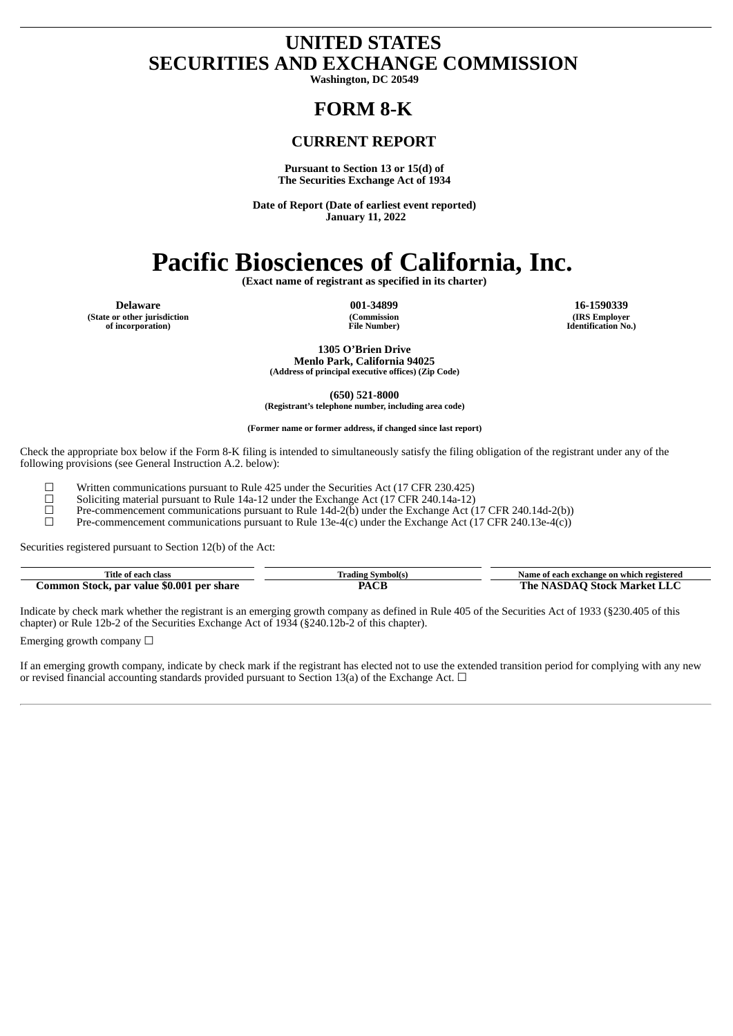# **UNITED STATES SECURITIES AND EXCHANGE COMMISSION**

**Washington, DC 20549**

# **FORM 8-K**

# **CURRENT REPORT**

**Pursuant to Section 13 or 15(d) of The Securities Exchange Act of 1934**

**Date of Report (Date of earliest event reported) January 11, 2022**

# **Pacific Biosciences of California, Inc.**

**(Exact name of registrant as specified in its charter)**

**(State or other jurisdiction of incorporation)**

**(Commission File Number)**

**Delaware 001-34899 16-1590339 (IRS Employer Identification No.)**

> **1305 O'Brien Drive Menlo Park, California 94025**

**(Address of principal executive offices) (Zip Code)**

**(650) 521-8000 (Registrant's telephone number, including area code)**

**(Former name or former address, if changed since last report)**

Check the appropriate box below if the Form 8-K filing is intended to simultaneously satisfy the filing obligation of the registrant under any of the following provisions (see General Instruction A.2. below):

 $□$  Written communications pursuant to Rule 425 under the Securities Act (17 CFR 230.425)<br>
Soliciting material pursuant to Rule 14a-12 under the Exchange Act (17 CFR 240.14a-12)<br>
Pre-commencement communications pursuant

Soliciting material pursuant to Rule 14a-12 under the Exchange Act (17 CFR 240.14a-12)

 $\Box$  Pre-commencement communications pursuant to Rule 14d-2(b) under the Exchange Act (17 CFR 240.14d-2(b))<br>Pre-commencement communications pursuant to Rule 13e-4(c) under the Exchange Act (17 CFR 240.13e-4(c))

Pre-commencement communications pursuant to Rule 13e-4(c) under the Exchange Act (17 CFR 240.13e-4(c))

Securities registered pursuant to Section 12(b) of the Act:

| Title of each class        | Trading Symbol(s | Name of each exchange on which registered |
|----------------------------|------------------|-------------------------------------------|
| Stock, par value \$0.001 ا | $\sim$           | -Stock Market L                           |
| l <b>per share</b>         | DЛ               | <b>The NASDAO</b>                         |
| .ommon                     | AU L             | 'alay                                     |

Indicate by check mark whether the registrant is an emerging growth company as defined in Rule 405 of the Securities Act of 1933 (§230.405 of this chapter) or Rule 12b-2 of the Securities Exchange Act of 1934 (§240.12b-2 of this chapter).

Emerging growth company  $\Box$ 

If an emerging growth company, indicate by check mark if the registrant has elected not to use the extended transition period for complying with any new or revised financial accounting standards provided pursuant to Section 13(a) of the Exchange Act.  $\Box$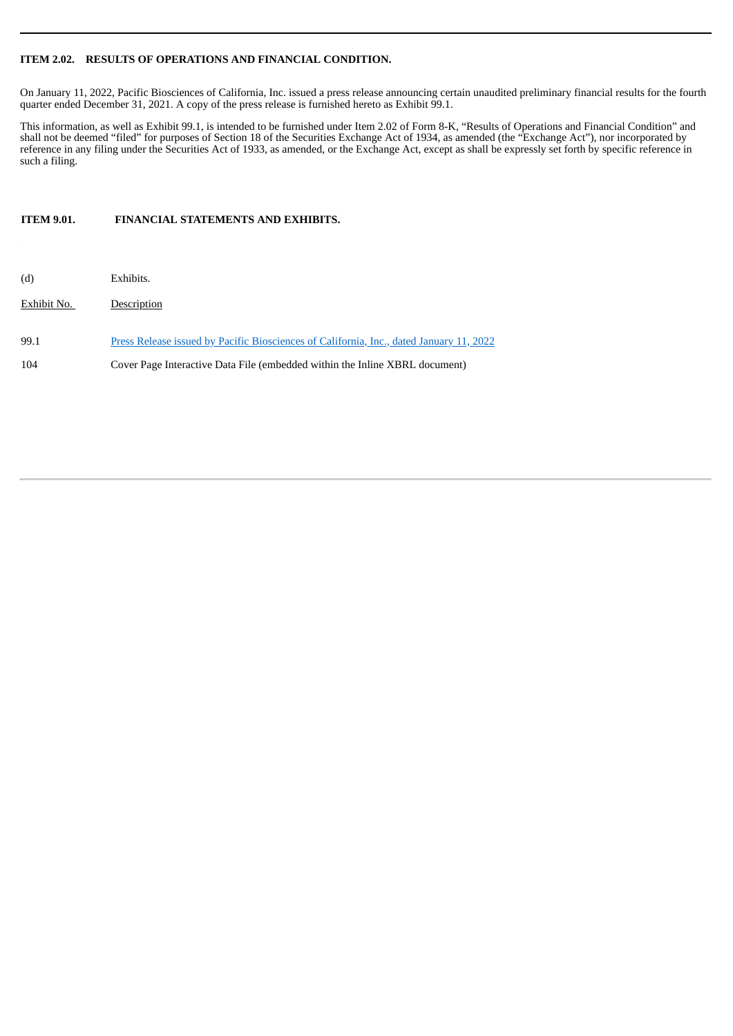## **ITEM 2.02. RESULTS OF OPERATIONS AND FINANCIAL CONDITION.**

On January 11, 2022, Pacific Biosciences of California, Inc. issued a press release announcing certain unaudited preliminary financial results for the fourth quarter ended December 31, 2021. A copy of the press release is furnished hereto as Exhibit 99.1.

This information, as well as Exhibit 99.1, is intended to be furnished under Item 2.02 of Form 8-K, "Results of Operations and Financial Condition" and shall not be deemed "filed" for purposes of Section 18 of the Securities Exchange Act of 1934, as amended (the "Exchange Act"), nor incorporated by reference in any filing under the Securities Act of 1933, as amended, or the Exchange Act, except as shall be expressly set forth by specific reference in such a filing.

**ITEM 9.01. FINANCIAL STATEMENTS AND EXHIBITS.**

| (d)         | Exhibits.                                                                               |
|-------------|-----------------------------------------------------------------------------------------|
| Exhibit No. | Description                                                                             |
| 99.1        | Press Release issued by Pacific Biosciences of California, Inc., dated January 11, 2022 |
| 104         | Cover Page Interactive Data File (embedded within the Inline XBRL document)             |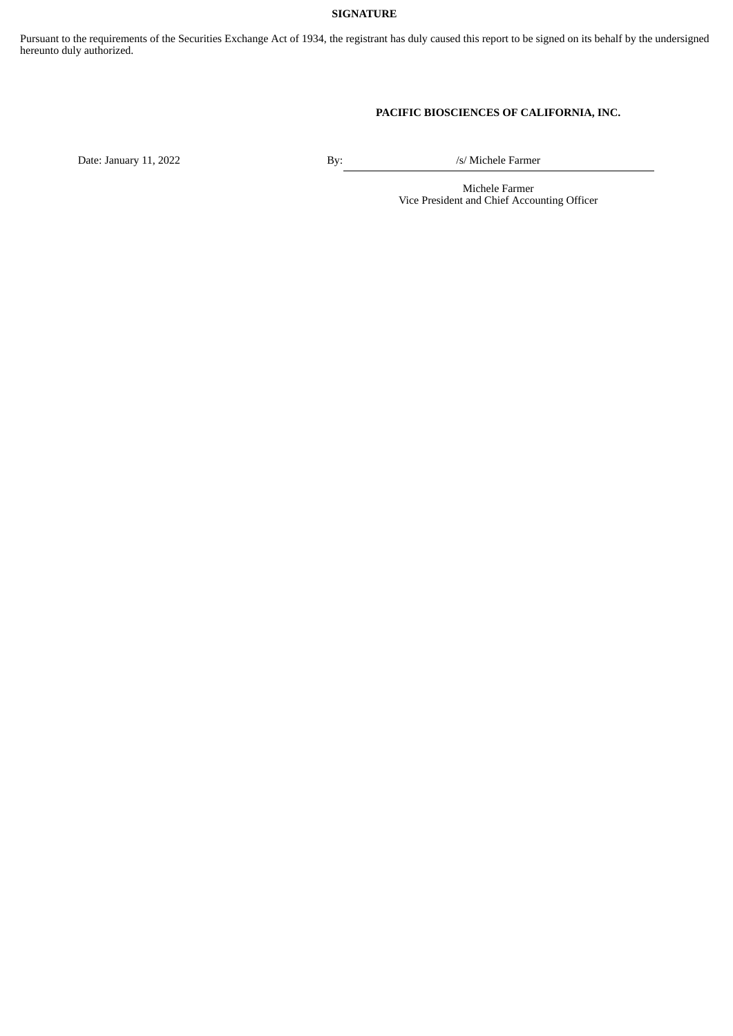## **SIGNATURE**

Pursuant to the requirements of the Securities Exchange Act of 1934, the registrant has duly caused this report to be signed on its behalf by the undersigned hereunto duly authorized.

# **PACIFIC BIOSCIENCES OF CALIFORNIA, INC.**

Date: January 11, 2022 By: By: /s/ Michele Farmer

Michele Farmer Vice President and Chief Accounting Officer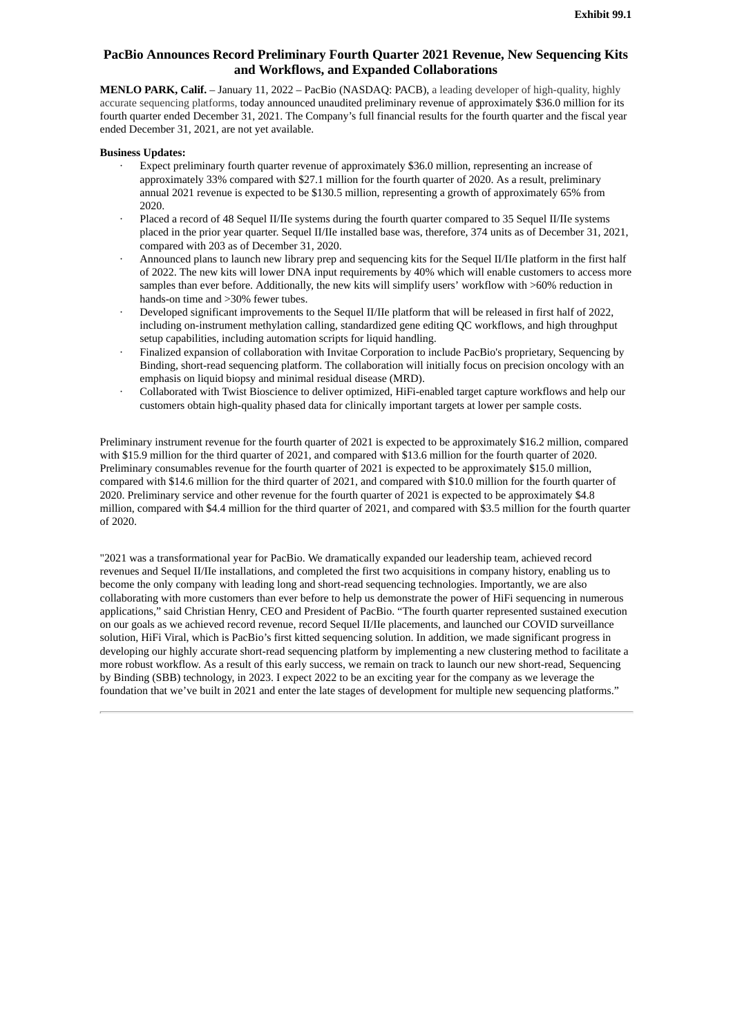# <span id="page-3-0"></span>**PacBio Announces Record Preliminary Fourth Quarter 2021 Revenue, New Sequencing Kits and Workflows, and Expanded Collaborations**

**MENLO PARK, Calif.** – January 11, 2022 – PacBio (NASDAQ: PACB), a leading developer of high-quality, highly accurate sequencing platforms, today announced unaudited preliminary revenue of approximately \$36.0 million for its fourth quarter ended December 31, 2021. The Company's full financial results for the fourth quarter and the fiscal year ended December 31, 2021, are not yet available.

#### **Business Updates:**

- Expect preliminary fourth quarter revenue of approximately \$36.0 million, representing an increase of approximately 33% compared with \$27.1 million for the fourth quarter of 2020. As a result, preliminary annual 2021 revenue is expected to be \$130.5 million, representing a growth of approximately 65% from 2020.
- · Placed a record of 48 Sequel II/IIe systems during the fourth quarter compared to 35 Sequel II/IIe systems placed in the prior year quarter. Sequel II/IIe installed base was, therefore, 374 units as of December 31, 2021, compared with 203 as of December 31, 2020.
- · Announced plans to launch new library prep and sequencing kits for the Sequel II/IIe platform in the first half of 2022. The new kits will lower DNA input requirements by 40% which will enable customers to access more samples than ever before. Additionally, the new kits will simplify users' workflow with >60% reduction in hands-on time and >30% fewer tubes.
- · Developed significant improvements to the Sequel II/IIe platform that will be released in first half of 2022, including on-instrument methylation calling, standardized gene editing QC workflows, and high throughput setup capabilities, including automation scripts for liquid handling.
- · Finalized expansion of collaboration with Invitae Corporation to include PacBio's proprietary, Sequencing by Binding, short-read sequencing platform. The collaboration will initially focus on precision oncology with an emphasis on liquid biopsy and minimal residual disease (MRD).
- · Collaborated with Twist Bioscience to deliver optimized, HiFi-enabled target capture workflows and help our customers obtain high-quality phased data for clinically important targets at lower per sample costs.

Preliminary instrument revenue for the fourth quarter of 2021 is expected to be approximately \$16.2 million, compared with \$15.9 million for the third quarter of 2021, and compared with \$13.6 million for the fourth quarter of 2020. Preliminary consumables revenue for the fourth quarter of 2021 is expected to be approximately \$15.0 million, compared with \$14.6 million for the third quarter of 2021, and compared with \$10.0 million for the fourth quarter of 2020. Preliminary service and other revenue for the fourth quarter of 2021 is expected to be approximately \$4.8 million, compared with \$4.4 million for the third quarter of 2021, and compared with \$3.5 million for the fourth quarter of 2020.

"2021 was a transformational year for PacBio. We dramatically expanded our leadership team, achieved record revenues and Sequel II/IIe installations, and completed the first two acquisitions in company history, enabling us to become the only company with leading long and short-read sequencing technologies. Importantly, we are also collaborating with more customers than ever before to help us demonstrate the power of HiFi sequencing in numerous applications," said Christian Henry, CEO and President of PacBio. "The fourth quarter represented sustained execution on our goals as we achieved record revenue, record Sequel II/IIe placements, and launched our COVID surveillance solution, HiFi Viral, which is PacBio's first kitted sequencing solution. In addition, we made significant progress in developing our highly accurate short-read sequencing platform by implementing a new clustering method to facilitate a more robust workflow. As a result of this early success, we remain on track to launch our new short-read, Sequencing by Binding (SBB) technology, in 2023. I expect 2022 to be an exciting year for the company as we leverage the foundation that we've built in 2021 and enter the late stages of development for multiple new sequencing platforms."